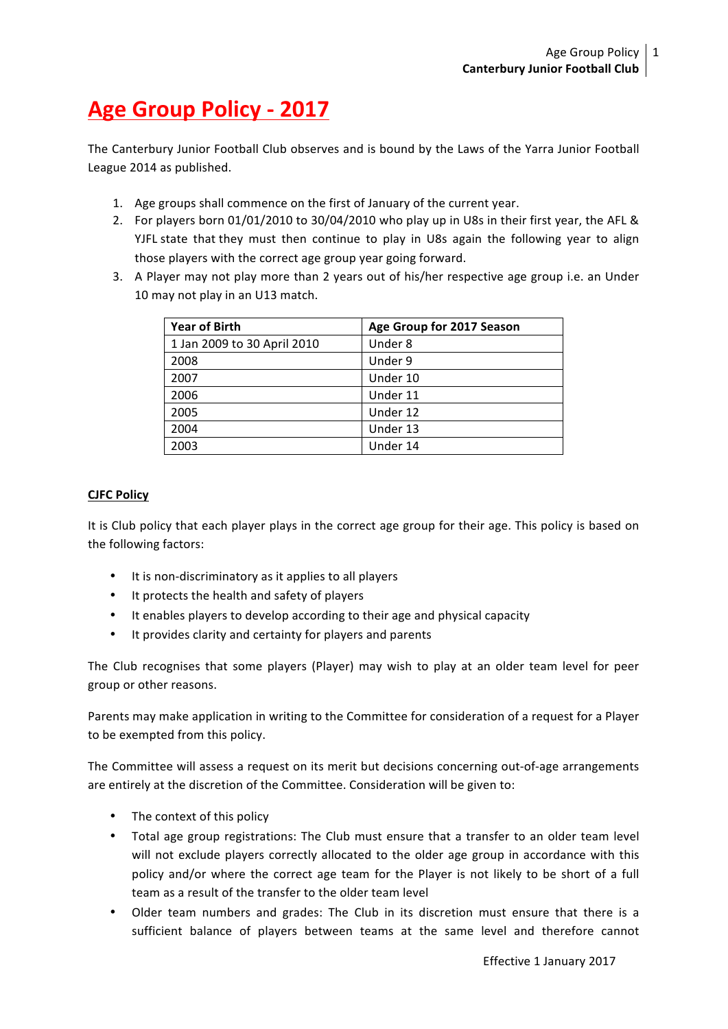## **Age Group Policy - 2017**

The Canterbury Junior Football Club observes and is bound by the Laws of the Yarra Junior Football League 2014 as published.

- 1. Age groups shall commence on the first of January of the current year.
- 2. For players born 01/01/2010 to 30/04/2010 who play up in U8s in their first year, the AFL & YJFL state that they must then continue to play in U8s again the following year to align those players with the correct age group year going forward.
- 3. A Player may not play more than 2 years out of his/her respective age group i.e. an Under 10 may not play in an U13 match.

| <b>Year of Birth</b>        | Age Group for 2017 Season |
|-----------------------------|---------------------------|
| 1 Jan 2009 to 30 April 2010 | Under 8                   |
| 2008                        | Under 9                   |
| 2007                        | Under 10                  |
| 2006                        | Under 11                  |
| 2005                        | Under 12                  |
| 2004                        | Under 13                  |
| 2003                        | Under 14                  |

## **CJFC Policy**

It is Club policy that each player plays in the correct age group for their age. This policy is based on the following factors:

- It is non-discriminatory as it applies to all players
- It protects the health and safety of players
- It enables players to develop according to their age and physical capacity
- It provides clarity and certainty for players and parents

The Club recognises that some players (Player) may wish to play at an older team level for peer group or other reasons.

Parents may make application in writing to the Committee for consideration of a request for a Player to be exempted from this policy.

The Committee will assess a request on its merit but decisions concerning out-of-age arrangements are entirely at the discretion of the Committee. Consideration will be given to:

- The context of this policy
- Total age group registrations: The Club must ensure that a transfer to an older team level will not exclude players correctly allocated to the older age group in accordance with this policy and/or where the correct age team for the Player is not likely to be short of a full team as a result of the transfer to the older team level
- Older team numbers and grades: The Club in its discretion must ensure that there is a sufficient balance of players between teams at the same level and therefore cannot